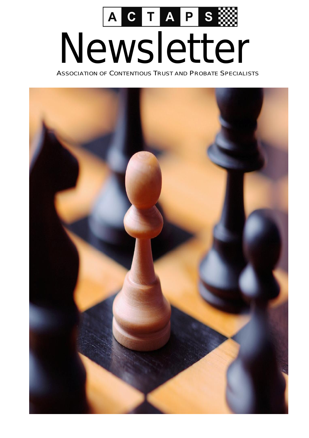

ASSOCIATION OF CONTENTIOUS TRUST AND PROBATE SPECIALISTS

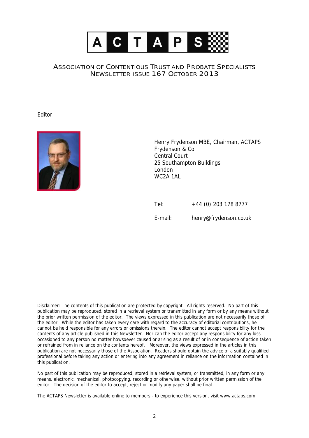

## ASSOCIATION OF CONTENTIOUS TRUST AND PROBATE SPECIALISTS NEWSLETTER ISSUE 167 OCTOBER 2013

*Editor:* 



*Henry Frydenson MBE, Chairman, ACTAPS Frydenson & Co Central Court 25 Southampton Buildings London WC2A 1AL* 

*Tel: +44 (0) 203 178 8777 E-mail: henry@frydenson.co.uk* 

*Disclaimer: The contents of this publication are protected by copyright. All rights reserved. No part of this*  publication may be reproduced, stored in a retrieval system or transmitted in any form or by any means without the prior written permission of the editor. The views expressed in this publication are not necessarily those of the editor. While the editor has taken every care with regard to the accuracy of editorial contributions, he *cannot be held responsible for any errors or omissions therein. The editor cannot accept responsibility for the*  contents of any article published in this Newsletter. Nor can the editor accept any responsibility for any loss occasioned to any person no matter howsoever caused or arising as a result of or in consequence of action taken or refrained from in reliance on the contents hereof. Moreover, the views expressed in the articles in this publication are not necessarily those of the Association. Readers should obtain the advice of a suitably qualified professional before taking any action or entering into any agreement in reliance on the information contained in *this publication.* 

No part of this publication may be reproduced, stored in a retrieval system, or transmitted, in any form or any *means, electronic, mechanical, photocopying, recording or otherwise, without prior written permission of the editor. The decision of the editor to accept, reject or modify any paper shall be final.* 

The ACTAPS Newsletter is available online to members - to experience this version, visit www.actaps.com.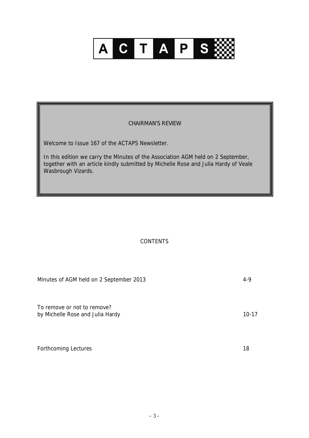

## CHAIRMAN'S REVIEW

Welcome to Issue 167 of the ACTAPS Newsletter.

In this edition we carry the Minutes of the Association AGM held on 2 September, together with an article kindly submitted by Michelle Rose and Julia Hardy of Veale Wasbrough Vizards.

## **CONTENTS**

| Minutes of AGM held on 2 September 2013                         | $4-9$     |
|-----------------------------------------------------------------|-----------|
| To remove or not to remove?<br>by Michelle Rose and Julia Hardy | $10 - 17$ |
| <b>Forthcoming Lectures</b>                                     | 18        |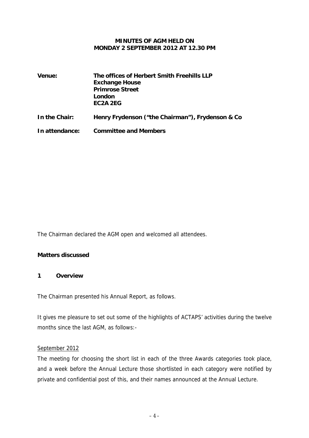#### **MINUTES OF AGM HELD ON MONDAY 2 SEPTEMBER 2012 AT 12.30 PM**

| Venue:         | The offices of Herbert Smith Freehills LLP<br><b>Exchange House</b><br><b>Primrose Street</b><br>London<br>EC <sub>2</sub> A <sub>2EG</sub> |  |
|----------------|---------------------------------------------------------------------------------------------------------------------------------------------|--|
| In the Chair:  | Henry Frydenson ("the Chairman"), Frydenson & Co                                                                                            |  |
| In attendance: | <b>Committee and Members</b>                                                                                                                |  |

The Chairman declared the AGM open and welcomed all attendees.

## **Matters discussed**

## **1 Overview**

The Chairman presented his Annual Report, as follows.

It gives me pleasure to set out some of the highlights of ACTAPS' activities during the twelve months since the last AGM, as follows:-

## September 2012

The meeting for choosing the short list in each of the three Awards categories took place, and a week before the Annual Lecture those shortlisted in each category were notified by private and confidential post of this, and their names announced at the Annual Lecture.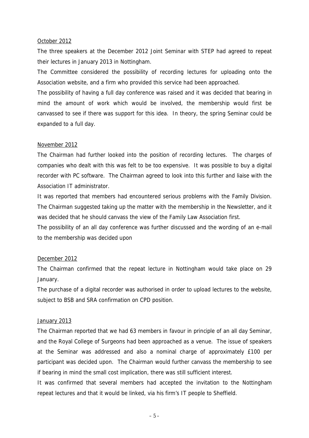#### October 2012

The three speakers at the December 2012 Joint Seminar with STEP had agreed to repeat their lectures in January 2013 in Nottingham.

The Committee considered the possibility of recording lectures for uploading onto the Association website, and a firm who provided this service had been approached.

The possibility of having a full day conference was raised and it was decided that bearing in mind the amount of work which would be involved, the membership would first be canvassed to see if there was support for this idea. In theory, the spring Seminar could be expanded to a full day.

#### November 2012

The Chairman had further looked into the position of recording lectures. The charges of companies who dealt with this was felt to be too expensive. It was possible to buy a digital recorder with PC software. The Chairman agreed to look into this further and liaise with the Association IT administrator.

It was reported that members had encountered serious problems with the Family Division. The Chairman suggested taking up the matter with the membership in the Newsletter, and it was decided that he should canvass the view of the Family Law Association first.

The possibility of an all day conference was further discussed and the wording of an e-mail to the membership was decided upon

## December 2012

The Chairman confirmed that the repeat lecture in Nottingham would take place on 29 January.

The purchase of a digital recorder was authorised in order to upload lectures to the website, subject to BSB and SRA confirmation on CPD position.

## January 2013

The Chairman reported that we had 63 members in favour in principle of an all day Seminar, and the Royal College of Surgeons had been approached as a venue. The issue of speakers at the Seminar was addressed and also a nominal charge of approximately £100 per participant was decided upon. The Chairman would further canvass the membership to see if bearing in mind the small cost implication, there was still sufficient interest.

It was confirmed that several members had accepted the invitation to the Nottingham repeat lectures and that it would be linked, via his firm's IT people to Sheffield.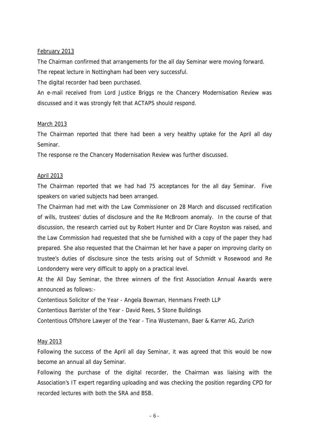#### February 2013

The Chairman confirmed that arrangements for the all day Seminar were moving forward. The repeat lecture in Nottingham had been very successful.

The digital recorder had been purchased.

An e-mail received from Lord Justice Briggs re the Chancery Modernisation Review was discussed and it was strongly felt that ACTAPS should respond.

#### March 2013

The Chairman reported that there had been a very healthy uptake for the April all day Seminar.

The response re the Chancery Modernisation Review was further discussed.

#### April 2013

The Chairman reported that we had had 75 acceptances for the all day Seminar. Five speakers on varied subjects had been arranged.

The Chairman had met with the Law Commissioner on 28 March and discussed rectification of wills, trustees' duties of disclosure and the Re McBroom anomaly. In the course of that discussion, the research carried out by Robert Hunter and Dr Clare Royston was raised, and the Law Commission had requested that she be furnished with a copy of the paper they had prepared. She also requested that the Chairman let her have a paper on improving clarity on trustee's duties of disclosure since the tests arising out of Schmidt v Rosewood and Re Londonderry were very difficult to apply on a practical level.

At the All Day Seminar, the three winners of the first Association Annual Awards were announced as follows:-

Contentious Solicitor of the Year - Angela Bowman, Henmans Freeth LLP

Contentious Barrister of the Year - David Rees, 5 Stone Buildings

Contentious Offshore Lawyer of the Year - Tina Wustemann, Baer & Karrer AG, Zurich

#### May 2013

Following the success of the April all day Seminar, it was agreed that this would be now become an annual all day Seminar.

Following the purchase of the digital recorder, the Chairman was liaising with the Association's IT expert regarding uploading and was checking the position regarding CPD for recorded lectures with both the SRA and BSB.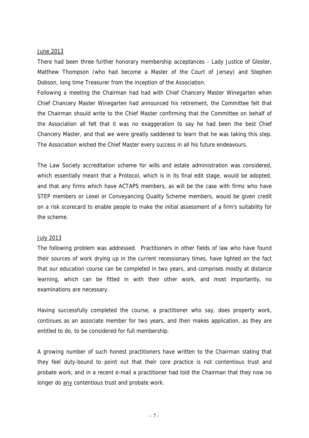#### June 2013

There had been three further honorary membership acceptances - Lady Justice of Gloster, Matthew Thompson (who had become a Master of the Court of Jersey) and Stephen Dobson, long time Treasurer from the inception of the Association.

Following a meeting the Chairman had had with Chief Chancery Master Winegarten when Chief Chancery Master Winegarten had announced his retirement, the Committee felt that the Chairman should write to the Chief Master confirming that the Committee on behalf of the Association all felt that it was no exaggeration to say he had been the best Chief Chancery Master, and that we were greatly saddened to learn that he was taking this step. The Association wished the Chief Master every success in all his future endeavours.

The Law Society accreditation scheme for wills and estate administration was considered, which essentially meant that a Protocol, which is in its final edit stage, would be adopted, and that any firms which have ACTAPS members, as will be the case with firms who have STEP members or Lexel or Conveyancing Quality Scheme members, would be given credit on a risk scorecard to enable people to make the initial assessment of a firm's suitability for the scheme.

#### July 2013

The following problem was addressed. Practitioners in other fields of law who have found their sources of work drying up in the current recessionary times, have lighted on the fact that our education course can be completed in two years, and comprises mostly at distance learning, which can be fitted in with their other work, and most importantly, no examinations are necessary.

Having successfully completed the course, a practitioner who say, does property work, continues as an associate member for two years, and then makes application, as they are entitled to do, to be considered for full membership.

A growing number of such honest practitioners have written to the Chairman stating that they feel duty-bound to point out that their core practice is not contentious trust and probate work, and in a recent e-mail a practitioner had told the Chairman that they now no longer do any contentious trust and probate work.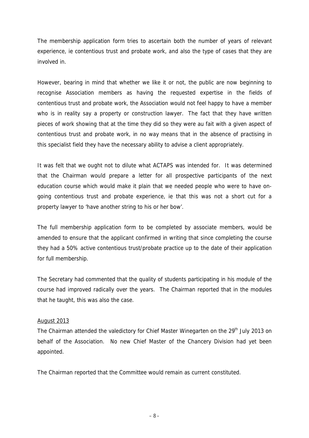The membership application form tries to ascertain both the number of years of relevant experience, ie contentious trust and probate work, and also the type of cases that they are involved in.

However, bearing in mind that whether we like it or not, the public are now beginning to recognise Association members as having the requested expertise in the fields of contentious trust and probate work, the Association would not feel happy to have a member who is in reality say a property or construction lawyer. The fact that they have written pieces of work showing that at the time they did so they were au fait with a given aspect of contentious trust and probate work, in no way means that in the absence of practising in this specialist field they have the necessary ability to advise a client appropriately.

It was felt that we ought not to dilute what ACTAPS was intended for. It was determined that the Chairman would prepare a letter for all prospective participants of the next education course which would make it plain that we needed people who were to have ongoing contentious trust and probate experience, ie that this was not a short cut for a property lawyer to 'have another string to his or her bow'.

The full membership application form to be completed by associate members, would be amended to ensure that the applicant confirmed in writing that since completing the course they had a 50% active contentious trust/probate practice up to the date of their application for full membership.

The Secretary had commented that the quality of students participating in his module of the course had improved radically over the years. The Chairman reported that in the modules that he taught, this was also the case.

## August 2013

The Chairman attended the valedictory for Chief Master Winegarten on the 29<sup>th</sup> July 2013 on behalf of the Association. No new Chief Master of the Chancery Division had yet been appointed.

The Chairman reported that the Committee would remain as current constituted.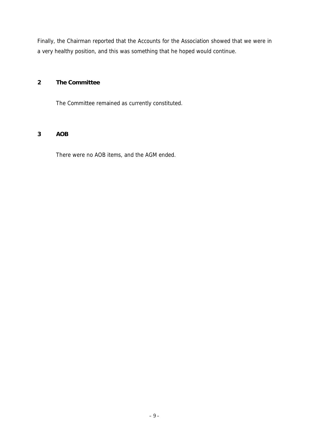Finally, the Chairman reported that the Accounts for the Association showed that we were in a very healthy position, and this was something that he hoped would continue.

## **2 The Committee**

The Committee remained as currently constituted.

## **3 AOB**

There were no AOB items, and the AGM ended.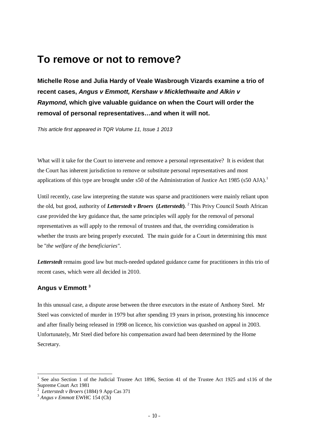## **To remove or not to remove?**

**Michelle Rose and Julia Hardy of Veale Wasbrough Vizards examine a trio of recent cases,** *Angus v Emmott, Kershaw v Micklethwaite and Alkin v Raymond,* **which give valuable guidance on when the Court will order the removal of personal representatives…and when it will not.** 

*This article first appeared in TQR Volume 11, Issue 1 2013* 

What will it take for the Court to intervene and remove a personal representative? It is evident that the Court has inherent jurisdiction to remove or substitute personal representatives and most applications of this type are brought under s50 of the Administration of Justice Act 1985 (s50 AJA).<sup>1</sup>

Until recently, case law interpreting the statute was sparse and practitioners were mainly reliant upon the old, but good, authority of *Letterstedt v Broers* **(***Letterstedt***)**. <sup>2</sup> This Privy Council South African case provided the key guidance that, the same principles will apply for the removal of personal representatives as will apply to the removal of trustees and that, the overriding consideration is whether the trusts are being properly executed. The main guide for a Court in determining this must be "*the welfare of the beneficiaries".* 

*Letterstedt* remains good law but much-needed updated guidance came for practitioners in this trio of recent cases, which were all decided in 2010.

## **Angus v Emmott <sup>3</sup>**

In this unusual case, a dispute arose between the three executors in the estate of Anthony Steel. Mr Steel was convicted of murder in 1979 but after spending 19 years in prison, protesting his innocence and after finally being released in 1998 on licence, his conviction was quashed on appeal in 2003. Unfortunately, Mr Steel died before his compensation award had been determined by the Home Secretary.

l

<sup>1</sup> See also Section 1 of the Judicial Trustee Act 1896, Section 41 of the Trustee Act 1925 and s116 of the Supreme Court Act 1981

<sup>2</sup> *Letterstedt v Broers* (1884) 9 App Cas 371

<sup>3</sup> *Angus v Emmott* EWHC 154 (Ch)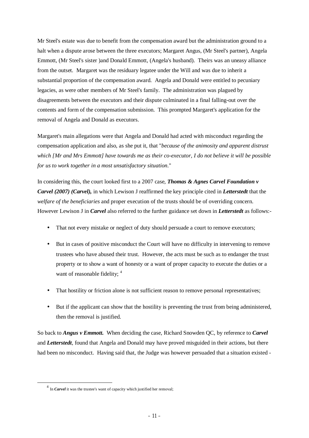Mr Steel's estate was due to benefit from the compensation award but the administration ground to a halt when a dispute arose between the three executors; Margaret Angus, (Mr Steel's partner), Angela Emmott, (Mr Steel's sister )and Donald Emmott, (Angela's husband). Theirs was an uneasy alliance from the outset. Margaret was the residuary legatee under the Will and was due to inherit a substantial proportion of the compensation award. Angela and Donald were entitled to pecuniary legacies, as were other members of Mr Steel's family. The administration was plagued by disagreements between the executors and their dispute culminated in a final falling-out over the contents and form of the compensation submission. This prompted Margaret's application for the removal of Angela and Donald as executors.

Margaret's main allegations were that Angela and Donald had acted with misconduct regarding the compensation application and also, as she put it, that "*because of the animosity and apparent distrust which [Mr and Mrs Emmott] have towards me as their co-executor, I do not believe it will be possible for us to work together in a most unsatisfactory situation*."

In considering this, the court looked first to a 2007 case, *Thomas & Agnes Carvel Foundation v Carvel (2007) (Carvel),* in which Lewison J reaffirmed the key principle cited in *Letterstedt* that the *welfare of the beneficiaries* and proper execution of the trusts should be of overriding concern. However Lewison J in *Carvel* also referred to the further guidance set down in *Letterstedt* as follows:-

- That not every mistake or neglect of duty should persuade a court to remove executors;
- But in cases of positive misconduct the Court will have no difficulty in intervening to remove trustees who have abused their trust. However, the acts must be such as to endanger the trust property or to show a want of honesty or a want of proper capacity to execute the duties or a want of reasonable fidelity; <sup>4</sup>
- That hostility or friction alone is not sufficient reason to remove personal representatives;
- But if the applicant can show that the hostility is preventing the trust from being administered, then the removal is justified.

So back to *Angus v Emmott.* When deciding the case, Richard Snowden QC, by reference to *Carvel* and *Letterstedt*, found that Angela and Donald may have proved misguided in their actions, but there had been no misconduct. Having said that, the Judge was however persuaded that a situation existed -

 $\overline{a}$ 

<sup>&</sup>lt;sup>4</sup> In *Carvel* it was the trustee's want of capacity which justified her removal;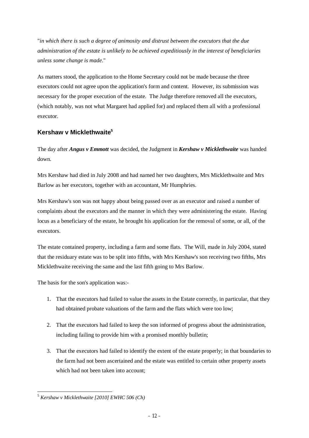"*in which there is such a degree of animosity and distrust between the executors that the due administration of the estate is unlikely to be achieved expeditiously in the interest of beneficiaries unless some change is made*."

As matters stood, the application to the Home Secretary could not be made because the three executors could not agree upon the application's form and content. However, its submission was necessary for the proper execution of the estate. The Judge therefore removed all the executors, (which notably, was not what Margaret had applied for) and replaced them all with a professional executor.

## **Kershaw v Micklethwaite<sup>5</sup>**

The day after *Angus v Emmott* was decided, the Judgment in *Kershaw v Micklethwaite* was handed down.

Mrs Kershaw had died in July 2008 and had named her two daughters, Mrs Micklethwaite and Mrs Barlow as her executors, together with an accountant, Mr Humphries.

Mrs Kershaw's son was not happy about being passed over as an executor and raised a number of complaints about the executors and the manner in which they were administering the estate. Having locus as a beneficiary of the estate, he brought his application for the removal of some, or all, of the executors.

The estate contained property, including a farm and some flats. The Will, made in July 2004, stated that the residuary estate was to be split into fifths, with Mrs Kershaw's son receiving two fifths, Mrs Micklethwaite receiving the same and the last fifth going to Mrs Barlow.

The basis for the son's application was:-

- 1. That the executors had failed to value the assets in the Estate correctly, in particular, that they had obtained probate valuations of the farm and the flats which were too low;
- 2. That the executors had failed to keep the son informed of progress about the administration, including failing to provide him with a promised monthly bulletin;
- 3. That the executors had failed to identify the extent of the estate properly; in that boundaries to the farm had not been ascertained and the estate was entitled to certain other property assets which had not been taken into account;

 $\overline{a}$ <sup>5</sup> *Kershaw v Micklethwaite [2010] EWHC 506 (Ch)*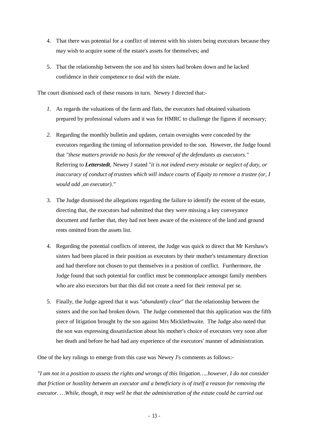- 4. That there was potential for a conflict of interest with his sisters being executors because they may wish to acquire some of the estate's assets for themselves; and
- 5. That the relationship between the son and his sisters had broken down and he lacked confidence in their competence to deal with the estate.

The court dismissed each of these reasons in turn. Newey J directed that:-

- *1.* As regards the valuations of the farm and flats, the executors had obtained valuations prepared by professional valuers and it was for HMRC to challenge the figures if necessary;
- *2.* Regarding the monthly bulletin and updates, certain oversights were conceded by the executors regarding the timing of information provided to the son. However, the Judge found that *"these matters provide no basis for the removal of the defendants as executors."* Referring to *Letterstedt*, Newey J stated "*it is not indeed every mistake or neglect of duty, or inaccuracy of conduct of trustees which will induce courts of Equity to remove a trustee (or, I would add ,an executor)."*
- 3. The Judge dismissed the allegations regarding the failure to identify the extent of the estate, directing that, the executors had submitted that they were missing a key conveyance document and further that, they had not been aware of the existence of the land and ground rents omitted from the assets list.
- 4. Regarding the potential conflicts of interest, the Judge was quick to direct that Mr Kershaw's sisters had been placed in their position as executors by their mother's testamentary direction and had therefore not chosen to put themselves in a position of conflict. Furthermore, the Judge found that such potential for conflict must be commonplace amongst family members who are also executors but that this did not create a need for their removal per se.
- 5. Finally, the Judge agreed that it was *"abundantly clear*" that the relationship between the sisters and the son had broken down. The Judge commented that this application was the fifth piece of litigation brought by the son against Mrs Micklethwaite. The Judge also noted that the son was expressing dissatisfaction about his mother's choice of executors very soon after her death and before he had had any experience of the executors' manner of administration.

One of the key rulings to emerge from this case was Newey J's comments as follows:-

*"I am not in a position to assess the rights and wrongs of this litigation…..however, I do not consider*  that friction or hostility between an executor and a beneficiary is of itself a reason for removing the *executor. …While, though, it may well be that the administration of the estate could be carried out*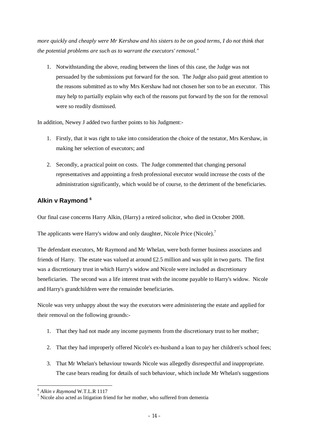more quickly and cheaply were Mr Kershaw and his sisters to be on good terms, I do not think that *the potential problems are such as to warrant the executors' removal."* 

1. Notwithstanding the above, reading between the lines of this case, the Judge was not persuaded by the submissions put forward for the son. The Judge also paid great attention to the reasons submitted as to why Mrs Kershaw had not chosen her son to be an executor. This may help to partially explain why each of the reasons put forward by the son for the removal were so readily dismissed.

In addition, Newey J added two further points to his Judgment:-

- 1. Firstly, that it was right to take into consideration the choice of the testator, Mrs Kershaw, in making her selection of executors; and
- 2. Secondly, a practical point on costs. The Judge commented that changing personal representatives and appointing a fresh professional executor would increase the costs of the administration significantly, which would be of course, to the detriment of the beneficiaries.

## **Alkin v Raymond <sup>6</sup>**

Our final case concerns Harry Alkin, (Harry) a retired solicitor, who died in October 2008.

The applicants were Harry's widow and only daughter, Nicole Price (Nicole).<sup>7</sup>

The defendant executors, Mr Raymond and Mr Whelan, were both former business associates and friends of Harry. The estate was valued at around  $\pounds$  2.5 million and was split in two parts. The first was a discretionary trust in which Harry's widow and Nicole were included as discretionary beneficiaries. The second was a life interest trust with the income payable to Harry's widow. Nicole and Harry's grandchildren were the remainder beneficiaries.

Nicole was very unhappy about the way the executors were administering the estate and applied for their removal on the following grounds:-

- 1. That they had not made any income payments from the discretionary trust to her mother;
- 2. That they had improperly offered Nicole's ex-husband a loan to pay her children's school fees;
- 3. That Mr Whelan's behaviour towards Nicole was allegedly disrespectful and inappropriate. The case bears reading for details of such behaviour, which include Mr Whelan's suggestions

l <sup>6</sup> *Alkin v Raymond* W.T.L.R 1117

<sup>&</sup>lt;sup>7</sup> Nicole also acted as litigation friend for her mother, who suffered from dementia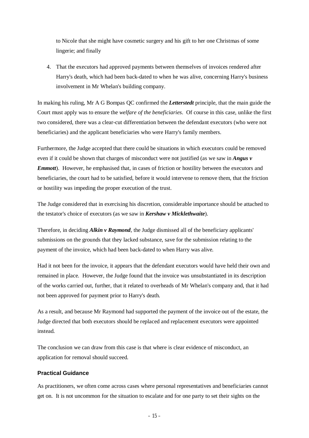to Nicole that she might have cosmetic surgery and his gift to her one Christmas of some lingerie; and finally

4. That the executors had approved payments between themselves of invoices rendered after Harry's death, which had been back-dated to when he was alive, concerning Harry's business involvement in Mr Whelan's building company.

In making his ruling, Mr A G Bompas QC confirmed the *Letterstedt* principle, that the main guide the Court must apply was to ensure the *welfare of the beneficiaries*. Of course in this case, unlike the first two considered, there was a clear-cut differentiation between the defendant executors (who were not beneficiaries) and the applicant beneficiaries who were Harry's family members.

Furthermore, the Judge accepted that there could be situations in which executors could be removed even if it could be shown that charges of misconduct were not justified (as we saw in *Angus v Emmott*). However, he emphasised that, in cases of friction or hostility between the executors and beneficiaries, the court had to be satisfied, before it would intervene to remove them, that the friction or hostility was impeding the proper execution of the trust.

The Judge considered that in exercising his discretion, considerable importance should be attached to the testator's choice of executors (as we saw in *Kershaw v Micklethwaite*).

Therefore, in deciding *Alkin v Raymond*, the Judge dismissed all of the beneficiary applicants' submissions on the grounds that they lacked substance, save for the submission relating to the payment of the invoice, which had been back-dated to when Harry was alive.

Had it not been for the invoice, it appears that the defendant executors would have held their own and remained in place. However, the Judge found that the invoice was unsubstantiated in its description of the works carried out, further, that it related to overheads of Mr Whelan's company and, that it had not been approved for payment prior to Harry's death.

As a result, and because Mr Raymond had supported the payment of the invoice out of the estate, the Judge directed that both executors should be replaced and replacement executors were appointed instead.

The conclusion we can draw from this case is that where is clear evidence of misconduct, an application for removal should succeed.

## **Practical Guidance**

As practitioners, we often come across cases where personal representatives and beneficiaries cannot get on. It is not uncommon for the situation to escalate and for one party to set their sights on the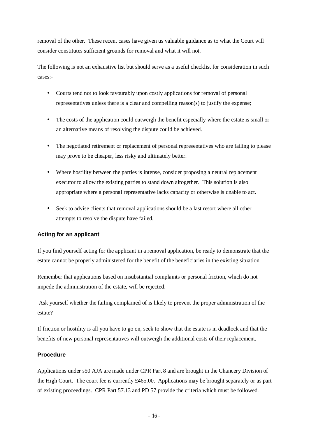removal of the other. These recent cases have given us valuable guidance as to what the Court will consider constitutes sufficient grounds for removal and what it will not.

The following is not an exhaustive list but should serve as a useful checklist for consideration in such cases:-

- Courts tend not to look favourably upon costly applications for removal of personal representatives unless there is a clear and compelling reason(s) to justify the expense;
- The costs of the application could outweigh the benefit especially where the estate is small or an alternative means of resolving the dispute could be achieved.
- The negotiated retirement or replacement of personal representatives who are failing to please may prove to be cheaper, less risky and ultimately better.
- Where hostility between the parties is intense, consider proposing a neutral replacement executor to allow the existing parties to stand down altogether. This solution is also appropriate where a personal representative lacks capacity or otherwise is unable to act.
- Seek to advise clients that removal applications should be a last resort where all other attempts to resolve the dispute have failed.

## **Acting for an applicant**

If you find yourself acting for the applicant in a removal application, be ready to demonstrate that the estate cannot be properly administered for the benefit of the beneficiaries in the existing situation.

Remember that applications based on insubstantial complaints or personal friction, which do not impede the administration of the estate, will be rejected.

Ask yourself whether the failing complained of is likely to prevent the proper administration of the estate?

If friction or hostility is all you have to go on, seek to show that the estate is in deadlock and that the benefits of new personal representatives will outweigh the additional costs of their replacement.

## **Procedure**

Applications under s50 AJA are made under CPR Part 8 and are brought in the Chancery Division of the High Court. The court fee is currently £465.00. Applications may be brought separately or as part of existing proceedings. CPR Part 57.13 and PD 57 provide the criteria which must be followed.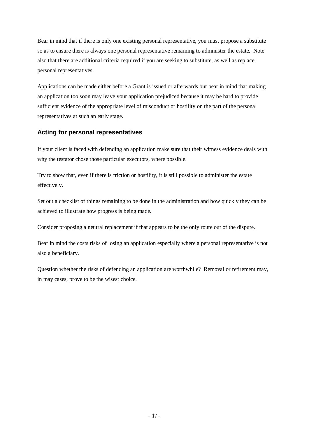Bear in mind that if there is only one existing personal representative, you must propose a substitute so as to ensure there is always one personal representative remaining to administer the estate. Note also that there are additional criteria required if you are seeking to substitute, as well as replace, personal representatives.

Applications can be made either before a Grant is issued or afterwards but bear in mind that making an application too soon may leave your application prejudiced because it may be hard to provide sufficient evidence of the appropriate level of misconduct or hostility on the part of the personal representatives at such an early stage.

## **Acting for personal representatives**

If your client is faced with defending an application make sure that their witness evidence deals with why the testator chose those particular executors, where possible.

Try to show that, even if there is friction or hostility, it is still possible to administer the estate effectively.

Set out a checklist of things remaining to be done in the administration and how quickly they can be achieved to illustrate how progress is being made.

Consider proposing a neutral replacement if that appears to be the only route out of the dispute.

Bear in mind the costs risks of losing an application especially where a personal representative is not also a beneficiary.

Question whether the risks of defending an application are worthwhile? Removal or retirement may, in may cases, prove to be the wisest choice.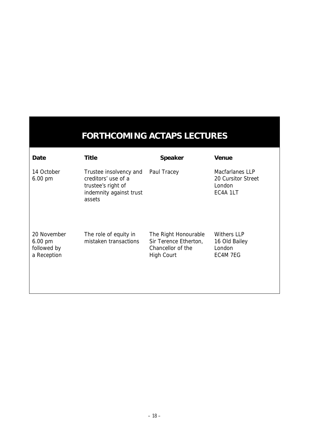# **FORTHCOMING ACTAPS LECTURES**

| Date                                                           | Title                                                                                                    | Speaker                                                                                 | Venue                                                              |
|----------------------------------------------------------------|----------------------------------------------------------------------------------------------------------|-----------------------------------------------------------------------------------------|--------------------------------------------------------------------|
| 14 October<br>6.00 pm                                          | Trustee insolvency and<br>creditors' use of a<br>trustee's right of<br>indemnity against trust<br>assets | Paul Tracey                                                                             | <b>Macfarlanes LLP</b><br>20 Cursitor Street<br>London<br>EC4A 1LT |
| 20 November<br>$6.00 \text{ pm}$<br>followed by<br>a Reception | The role of equity in<br>mistaken transactions                                                           | The Right Honourable<br>Sir Terence Etherton,<br>Chancellor of the<br><b>High Court</b> | <b>Withers LLP</b><br>16 Old Bailey<br>London<br>EC4M 7EG          |